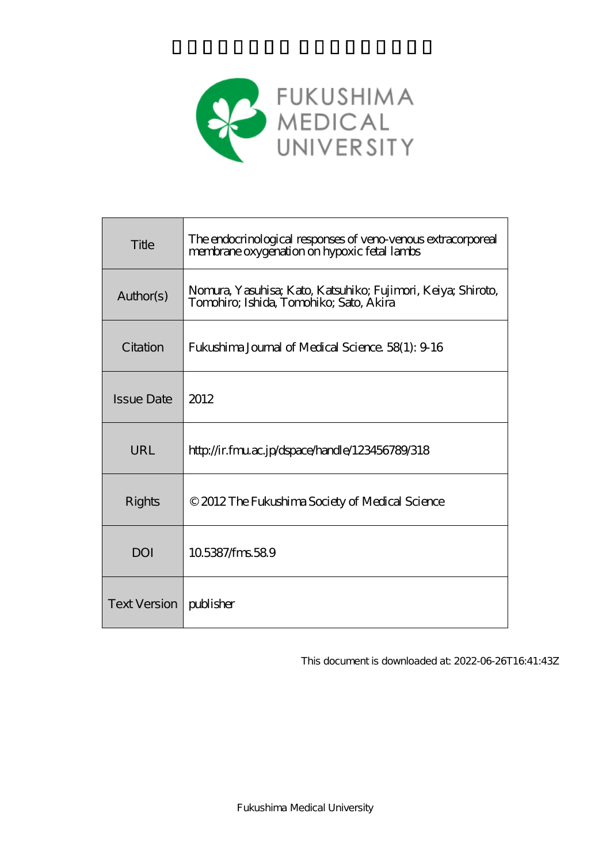

| Title             | The endocrinological responses of veno venous extracorporeal<br>membrane oxygenation on hypoxic fetal lambs |
|-------------------|-------------------------------------------------------------------------------------------------------------|
| Author(s)         | Nomura, Yasuhisa; Kato, Katsuhiko; Fujimori, Keiya; Shiroto,<br>Tomohiro; Ishida, Tomohiko; Sato, Akira     |
| Citation          | <b>Fukushima Journal of Medical Science. 58(1): 9 16</b>                                                    |
| <b>Issue Date</b> | 2012                                                                                                        |
| URL               | http://ir.fmu.ac.jp/dspace/handle/123456789/318                                                             |
| Rights            | © 2012 The Fukushima Society of Medical Science                                                             |
| DOI               | 105387/fms589                                                                                               |
|                   |                                                                                                             |

This document is downloaded at: 2022-06-26T16:41:43Z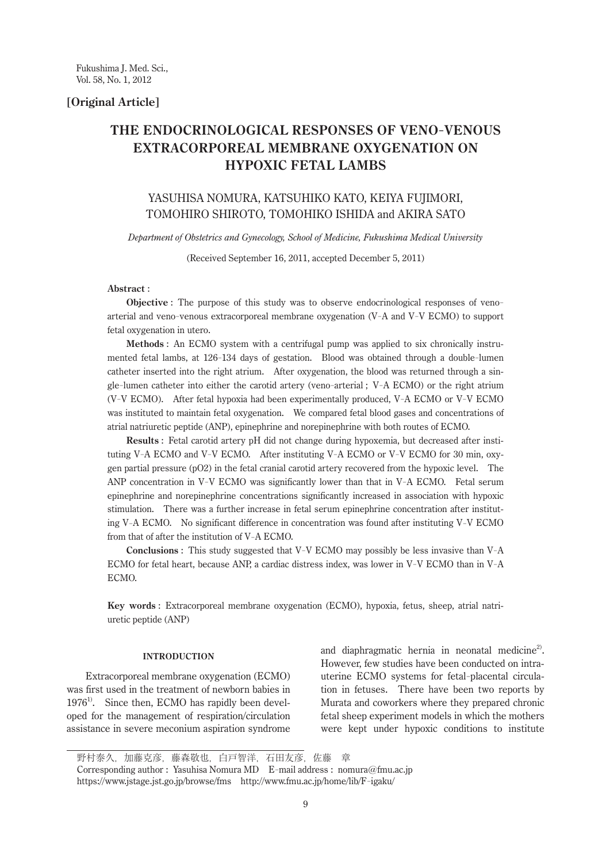**[Original Article]**

# THE ENDOCRINOLOGICAL RESPONSES OF VENO-VENOUS **EXTRACORPOREAL MEMBRANE OXYGENATION ON HYPOXIC FETAL LAMBS**

# YASUHISA NOMURA, KATSUHIKO KATO, KEIYA FUJIMORI, TOMOHIRO SHIROTO, TOMOHIKO ISHIDA and AKIRA SATO

*Department of Obstetrics and Gynecology, School of Medicine, Fukushima Medical University*

(Received September 16, 2011, accepted December 5, 2011)

# **Abstract** :

 **Objective** : The purpose of this study was to observe endocrinological responses of venoarterial and veno-venous extracorporeal membrane oxygenation (V-A and V-V ECMO) to support fetal oxygenation in utero.

 **Methods** : An ECMO system with a centrifugal pump was applied to six chronically instrumented fetal lambs, at 126- 134 days of gestation. Blood was obtained through a double-lumen catheter inserted into the right atrium. After oxygenation, the blood was returned through a single-lumen catheter into either the carotid artery (veno-arterial ; V-A ECMO) or the right atrium (V-V ECMO). After fetal hypoxia had been experimentally produced, V-A ECMO or V-V ECMO was instituted to maintain fetal oxygenation. We compared fetal blood gases and concentrations of atrial natriuretic peptide (ANP), epinephrine and norepinephrine with both routes of ECMO.

 **Results** : Fetal carotid artery pH did not change during hypoxemia, but decreased after instituting V-A ECMO and V-V ECMO. After instituting V-A ECMO or V-V ECMO for 30 min, oxygen partial pressure (pO2) in the fetal cranial carotid artery recovered from the hypoxic level. The ANP concentration in V-V ECMO was significantly lower than that in V-A ECMO. Fetal serum epinephrine and norepinephrine concentrations significantly increased in association with hypoxic stimulation. There was a further increase in fetal serum epinephrine concentration after instituting V-A ECMO. No significant difference in concentration was found after instituting V-V ECMO from that of after the institution of V-A ECMO.

 **Conclusions** : This study suggested that V-V ECMO may possibly be less invasive than V-A ECMO for fetal heart, because ANP, a cardiac distress index, was lower in V-V ECMO than in V-A ECMO.

**Key words** : Extracorporeal membrane oxygenation (ECMO), hypoxia, fetus, sheep, atrial natriuretic peptide (ANP)

# **Introduction**

Extracorporeal membrane oxygenation (ECMO) was first used in the treatment of newborn babies in  $1976<sup>1</sup>$ . Since then, ECMO has rapidly been developed for the management of respiration/circulation assistance in severe meconium aspiration syndrome

and diaphragmatic hernia in neonatal medicine<sup>2)</sup>. However, few studies have been conducted on intrauterine ECMO systems for fetal-placental circulation in fetuses. There have been two reports by Murata and coworkers where they prepared chronic fetal sheep experiment models in which the mothers were kept under hypoxic conditions to institute

野村泰久,加藤克彦,藤森敬也,白戸智洋,石田友彦,佐藤 章 Corresponding author : Yasuhisa Nomura MD E-mail address : nomura@fmu.ac.jp

https://www.jstage.jst.go.jp/browse/fms http://www.fmu.ac.jp/home/lib/F-igaku/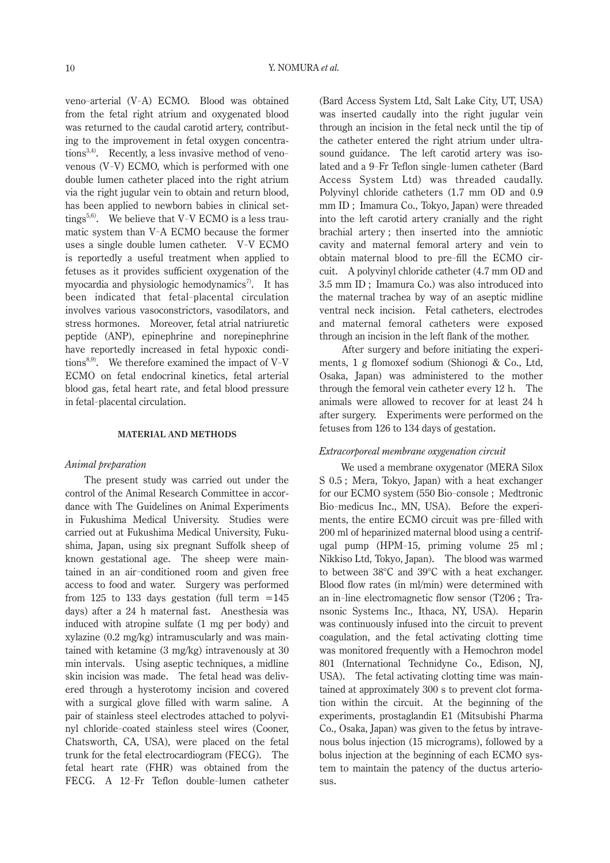veno-arterial (V-A) ECMO. Blood was obtained from the fetal right atrium and oxygenated blood was returned to the caudal carotid artery, contributing to the improvement in fetal oxygen concentrations<sup>3,4)</sup>. Recently, a less invasive method of venovenous (V-V) ECMO, which is performed with one double lumen catheter placed into the right atrium via the right jugular vein to obtain and return blood, has been applied to newborn babies in clinical settings<sup>5,6</sup>. We believe that V-V ECMO is a less traumatic system than V-A ECMO because the former uses a single double lumen catheter. V-V ECMO is reportedly a useful treatment when applied to fetuses as it provides sufficient oxygenation of the myocardia and physiologic hemodynamics<sup>7</sup>. It has been indicated that fetal-placental circulation involves various vasoconstrictors, vasodilators, and stress hormones. Moreover, fetal atrial natriuretic peptide (ANP), epinephrine and norepinephrine have reportedly increased in fetal hypoxic conditions<sup>8,9)</sup>. We therefore examined the impact of V-V ECMO on fetal endocrinal kinetics, fetal arterial blood gas, fetal heart rate, and fetal blood pressure in fetal-placental circulation.

#### **Material and Methods**

#### *Animal preparation*

The present study was carried out under the control of the Animal Research Committee in accordance with The Guidelines on Animal Experiments in Fukushima Medical University. Studies were carried out at Fukushima Medical University, Fukushima, Japan, using six pregnant Suffolk sheep of known gestational age. The sheep were maintained in an air-conditioned room and given free access to food and water. Surgery was performed from 125 to 133 days gestation (full term  $=145$ days) after a 24 h maternal fast. Anesthesia was induced with atropine sulfate (1 mg per body) and xylazine (0.2 mg/kg) intramuscularly and was maintained with ketamine (3 mg/kg) intravenously at 30 min intervals. Using aseptic techniques, a midline skin incision was made. The fetal head was delivered through a hysterotomy incision and covered with a surgical glove filled with warm saline. A pair of stainless steel electrodes attached to polyvinyl chloride-coated stainless steel wires (Cooner, Chatsworth, CA, USA), were placed on the fetal trunk for the fetal electrocardiogram (FECG). The fetal heart rate (FHR) was obtained from the FECG. A 12- Fr Teflon double-lumen catheter (Bard Access System Ltd, Salt Lake City, UT, USA) was inserted caudally into the right jugular vein through an incision in the fetal neck until the tip of the catheter entered the right atrium under ultrasound guidance. The left carotid artery was isolated and a 9- Fr Teflon single-lumen catheter (Bard Access System Ltd) was threaded caudally. Polyvinyl chloride catheters (1.7 mm OD and 0.9 mm ID ; Imamura Co., Tokyo, Japan) were threaded into the left carotid artery cranially and the right brachial artery ; then inserted into the amniotic cavity and maternal femoral artery and vein to obtain maternal blood to pre-fill the ECMO circuit. A polyvinyl chloride catheter (4.7 mm OD and 3.5 mm ID ; Imamura Co.) was also introduced into the maternal trachea by way of an aseptic midline ventral neck incision. Fetal catheters, electrodes and maternal femoral catheters were exposed through an incision in the left flank of the mother.

 After surgery and before initiating the experiments, 1 g flomoxef sodium (Shionogi & Co., Ltd, Osaka, Japan) was administered to the mother through the femoral vein catheter every 12 h. The animals were allowed to recover for at least 24 h after surgery. Experiments were performed on the fetuses from 126 to 134 days of gestation.

# *Extracorporeal membrane oxygenation circuit*

 We used a membrane oxygenator (MERA Silox S 0.5 ; Mera, Tokyo, Japan) with a heat exchanger for our ECMO system (550 Bio-console ; Medtronic Bio-medicus Inc., MN, USA). Before the experiments, the entire ECMO circuit was pre-filled with 200 ml of heparinized maternal blood using a centrifugal pump (HPM-15, priming volume 25 ml; Nikkiso Ltd, Tokyo, Japan). The blood was warmed to between 38°C and 39°C with a heat exchanger. Blood flow rates (in ml/min) were determined with an in-line electromagnetic flow sensor (T206 ; Transonic Systems Inc., Ithaca, NY, USA). Heparin was continuously infused into the circuit to prevent coagulation, and the fetal activating clotting time was monitored frequently with a Hemochron model 801 (International Technidyne Co., Edison, NJ, USA). The fetal activating clotting time was maintained at approximately 300 s to prevent clot formation within the circuit. At the beginning of the experiments, prostaglandin E1 (Mitsubishi Pharma Co., Osaka, Japan) was given to the fetus by intravenous bolus injection (15 micrograms), followed by a bolus injection at the beginning of each ECMO system to maintain the patency of the ductus arteriosus.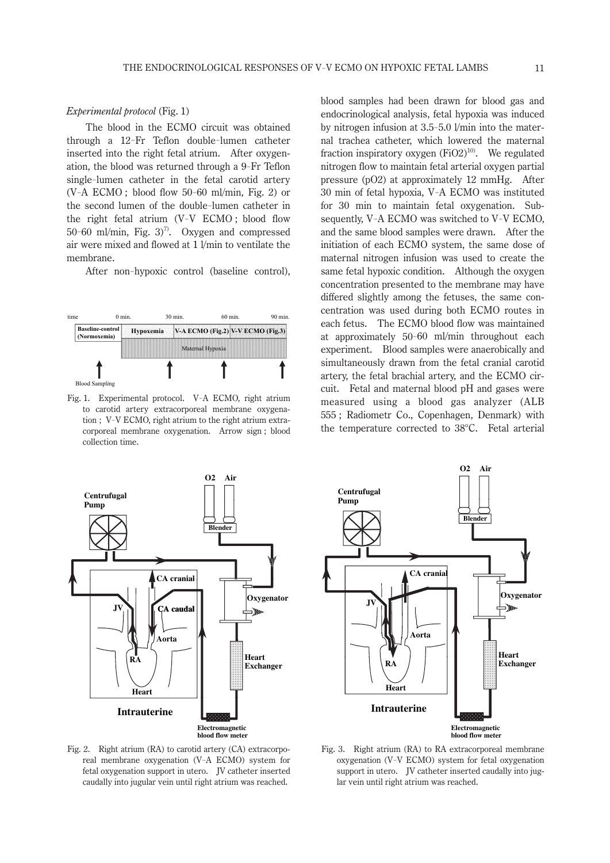# *Experimental protocol* (Fig. 1)

The blood in the ECMO circuit was obtained through a 12- Fr Teflon double-lumen catheter inserted into the right fetal atrium. After oxygenation, the blood was returned through a 9- Fr Teflon single-lumen catheter in the fetal carotid artery (V-A ECMO ; blood flow 50- 60 ml/min, Fig. 2) or the second lumen of the double-lumen catheter in the right fetal atrium (V-V ECMO ; blood flow 50- 60 ml/min, Fig. 3)7). Oxygen and compressed air were mixed and flowed at 1 l/min to ventilate the membrane.

After non-hypoxic control (baseline control),



collection time. Fig. 1. Experimental protocol. V-A ECMO, right atrium to carotid artery extracorporeal membrane oxygenation ; V-V ECMO, right atrium to the right atrium extracorporeal membrane oxygenation. Arrow sign ; blood

blood samples had been drawn for blood gas and endocrinological analysis, fetal hypoxia was induced by nitrogen infusion at 3.5- 5.0 l/min into the maternal trachea catheter, which lowered the maternal fraction inspiratory oxygen  $(FiO2)^{10}$ . We regulated nitrogen flow to maintain fetal arterial oxygen partial pressure (pO2) at approximately 12 mmHg. After 30 min of fetal hypoxia, V-A ECMO was instituted for 30 min to maintain fetal oxygenation. Subsequently, V-A ECMO was switched to V-V ECMO, and the same blood samples were drawn. After the initiation of each ECMO system, the same dose of maternal nitrogen infusion was used to create the same fetal hypoxic condition. Although the oxygen concentration presented to the membrane may have differed slightly among the fetuses, the same concentration was used during both ECMO routes in each fetus. The ECMO blood flow was maintained at approximately 50- 60 ml/min throughout each experiment. Blood samples were anaerobically and simultaneously drawn from the fetal cranial carotid artery, the fetal brachial artery, and the ECMO circuit. Fetal and maternal blood pH and gases were measured using a blood gas analyzer (ALB 555 ; Radiometr Co., Copenhagen, Denmark) with the temperature corrected to 38°C. Fetal arterial



Fig. 2. Right atrium (RA) to carotid artery (CA) extracorpoz. Kight attium (KA) to caroud artery (CA) extracorpor-<br>real membrane oxygenation (V-A ECMO) system for fetal oxygenation support in utero. JV catheter inserted caudally into jugular vein until right atrium was reached.



Fig. 3. Right atrium (RA) to RA extracorporeal membrane oxygenation (V-V ECMO) system for fetal oxygenation support in utero. IV catheter inserted caudally into juglar vein until right atrium was reached.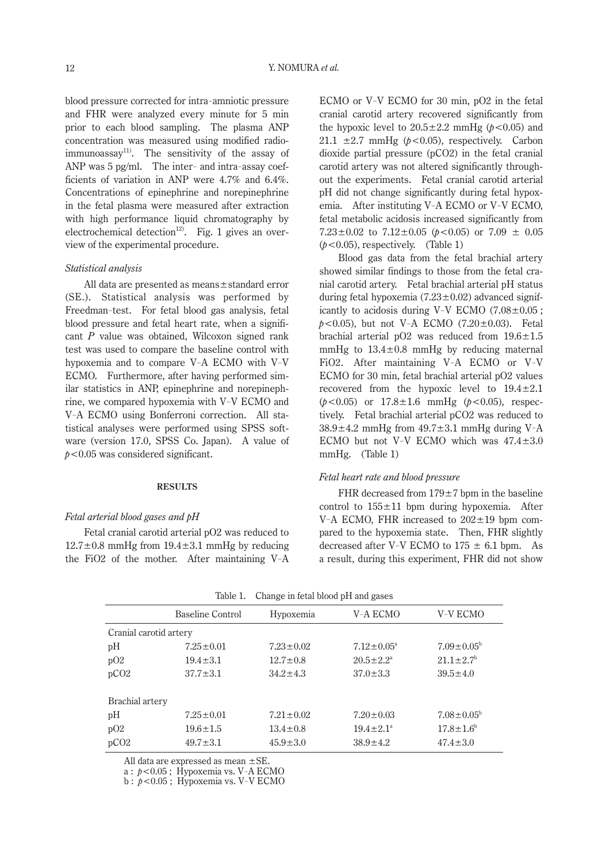blood pressure corrected for intra-amniotic pressure and FHR were analyzed every minute for 5 min prior to each blood sampling. The plasma ANP concentration was measured using modified radioimmunoassay<sup>11)</sup>. The sensitivity of the assay of ANP was 5 pg/ml. The inter- and intra-assay coefficients of variation in ANP were 4.7% and 6.4%. Concentrations of epinephrine and norepinephrine in the fetal plasma were measured after extraction with high performance liquid chromatography by electrochemical detection<sup>12)</sup>. Fig. 1 gives an overview of the experimental procedure.

# *Statistical analysis*

All data are presented as means±standard error (SE.). Statistical analysis was performed by Freedman-test. For fetal blood gas analysis, fetal blood pressure and fetal heart rate, when a significant *P* value was obtained, Wilcoxon signed rank test was used to compare the baseline control with hypoxemia and to compare V-A ECMO with V-V ECMO. Furthermore, after having performed similar statistics in ANP, epinephrine and norepinephrine, we compared hypoxemia with V-V ECMO and V-A ECMO using Bonferroni correction. All statistical analyses were performed using SPSS software (version 17.0, SPSS Co. Japan). A value of *p*<0.05 was considered significant.

## **Results**

# *Fetal arterial blood gases and pH*

Fetal cranial carotid arterial pO2 was reduced to  $12.7\pm0.8$  mmHg from  $19.4\pm3.1$  mmHg by reducing the FiO2 of the mother. After maintaining V-A

ECMO or V-V ECMO for 30 min, pO2 in the fetal cranial carotid artery recovered significantly from the hypoxic level to  $20.5 \pm 2.2$  mmHg ( $p < 0.05$ ) and 21.1  $\pm$ 2.7 mmHg ( $p$ <0.05), respectively. Carbon dioxide partial pressure (pCO2) in the fetal cranial carotid artery was not altered significantly throughout the experiments. Fetal cranial carotid arterial pH did not change significantly during fetal hypoxemia. After instituting V-A ECMO or V-V ECMO, fetal metabolic acidosis increased significantly from  $7.23 \pm 0.02$  to  $7.12 \pm 0.05$  ( $b < 0.05$ ) or  $7.09 \pm 0.05$ (*p<*0.05), respectively. (Table 1)

Blood gas data from the fetal brachial artery showed similar findings to those from the fetal cranial carotid artery. Fetal brachial arterial pH status during fetal hypoxemia  $(7.23 \pm 0.02)$  advanced significantly to acidosis during V-V ECMO  $(7.08 \pm 0.05)$ ;  $p < 0.05$ ), but not V-A ECMO (7.20 $\pm$ 0.03). Fetal brachial arterial pO2 was reduced from  $19.6 \pm 1.5$ mmHg to  $13.4 \pm 0.8$  mmHg by reducing maternal FiO2. After maintaining V-A ECMO or V-V ECMO for 30 min, fetal brachial arterial pO2 values recovered from the hypoxic level to 19.4±2.1 (*p<*0.05) or 17.8±1.6 mmHg (*p<*0.05), respectively. Fetal brachial arterial pCO2 was reduced to  $38.9 \pm 4.2$  mmHg from  $49.7 \pm 3.1$  mmHg during V-A ECMO but not V-V ECMO which was  $47.4 \pm 3.0$ mmHg. (Table 1)

# *Fetal heart rate and blood pressure*

FHR decreased from  $179 \pm 7$  bpm in the baseline control to  $155 \pm 11$  bpm during hypoxemia. After V-A ECMO, FHR increased to  $202 \pm 19$  bpm compared to the hypoxemia state. Then, FHR slightly decreased after V-V ECMO to  $175 \pm 6.1$  bpm. As a result, during this experiment, FHR did not show

|                        | <b>Baseline Control</b> | Hypoxemia       | V-A ECMO                | V-V ECMO                    |  |  |  |  |  |  |
|------------------------|-------------------------|-----------------|-------------------------|-----------------------------|--|--|--|--|--|--|
| Cranial carotid artery |                         |                 |                         |                             |  |  |  |  |  |  |
| pH                     | $7.25 \pm 0.01$         | $7.23 \pm 0.02$ | $7.12 \pm 0.05^{\circ}$ | $7.09 \pm 0.05^{\rm b}$     |  |  |  |  |  |  |
| pO2                    | $19.4 \pm 3.1$          | $12.7 \pm 0.8$  | $20.5 \pm 2.2^{\circ}$  | $21.1 \pm 2.7$ <sup>b</sup> |  |  |  |  |  |  |
| pCO <sub>2</sub>       | $37.7 \pm 3.1$          | $34.2 \pm 4.3$  | $37.0 \pm 3.3$          | $39.5 \pm 4.0$              |  |  |  |  |  |  |
| Brachial artery        |                         |                 |                         |                             |  |  |  |  |  |  |
| pH                     | $7.25 \pm 0.01$         | $7.21 \pm 0.02$ | $7.20 \pm 0.03$         | $7.08 \pm 0.05^b$           |  |  |  |  |  |  |
| pO2                    | $19.6 \pm 1.5$          | $13.4 \pm 0.8$  | $19.4 \pm 2.1^a$        | $17.8 \pm 1.6^b$            |  |  |  |  |  |  |
| pCO <sub>2</sub>       | $49.7 \pm 3.1$          | $45.9 \pm 3.0$  | $38.9 \pm 4.2$          | $47.4 \pm 3.0$              |  |  |  |  |  |  |
|                        |                         |                 |                         |                             |  |  |  |  |  |  |

| Table 1. | Change in fetal blood pH and gases |  |  |  |
|----------|------------------------------------|--|--|--|
|          |                                    |  |  |  |

All data are expressed as mean ±SE.

a : *p*<0.05 ; Hypoxemia vs. V-A ECMO<br>b : *p*<0.05 ; Hypoxemia vs. V-V ECMO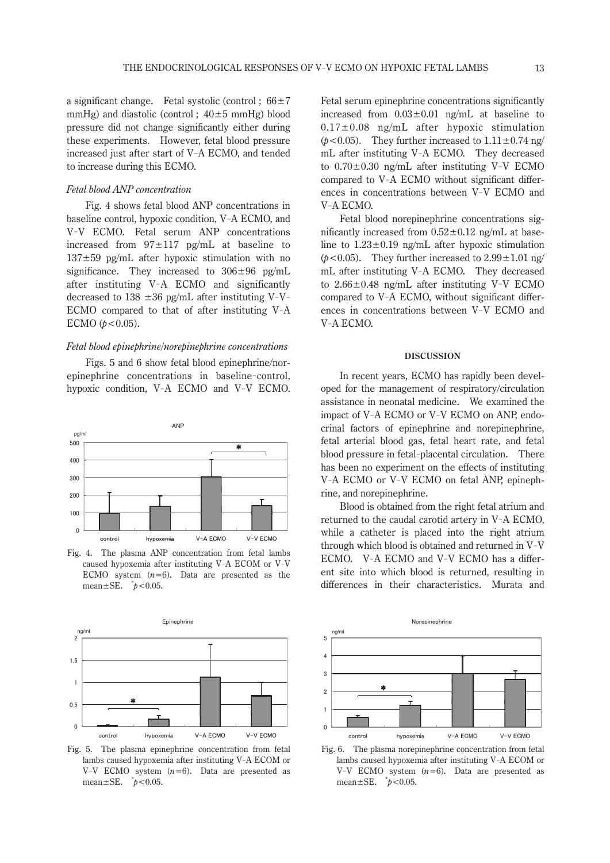a significant change. Fetal systolic (control :  $66\pm7$ mmHg) and diastolic (control;  $40\pm5$  mmHg) blood pressure did not change significantly either during these experiments. However, fetal blood pressure increased just after start of V-A ECMO, and tended to increase during this ECMO.

# *Fetal blood ANP concentration*

Fig. 4 shows fetal blood ANP concentrations in baseline control, hypoxic condition, V-A ECMO, and V-V ECMO. Fetal serum ANP concentrations increased from  $97 \pm 117$  pg/mL at baseline to  $137\pm59$  pg/mL after hypoxic stimulation with no significance. They increased to  $306 \pm 96$  pg/mL after instituting V-A ECMO and significantly decreased to 138  $\pm$ 36 pg/mL after instituting V-V-ECMO compared to that of after instituting V-A ECMO  $(p < 0.05)$ .

# *Fetal blood epinephrine/norepinephrine concentrations*

Figs. 5 and 6 show fetal blood epinephrine/norepinephrine concentrations in baseline-control, hypoxic condition, V-A ECMO and V-V ECMO.



Fig. 4. The plasma ANP concentration from fetal lambs caused hypoxemia after instituting V-A ECOM or V-V ECMO system  $(n=6)$ . Data are presented as the mean±SE. \* *p<*0.05.



Fig. 5. The plasma epinephrine concentration from fetal lambs caused hypoxemia after instituting V-A ECOM or  $V-V$  ECMO system  $(n=6)$ . Data are presented as mean±SE. \* *p<*0.05.

Fetal serum epinephrine concentrations significantly increased from  $0.03 \pm 0.01$  ng/mL at baseline to 0.17±0.08 ng/mL after hypoxic stimulation ( $p$ <0.05). They further increased to  $1.11 \pm 0.74$  ng/ mL after instituting V-A ECMO. They decreased to 0.70±0.30 ng/mL after instituting V-V ECMO compared to V-A ECMO without significant differences in concentrations between V-V ECMO and V-A ECMO.

Fetal blood norepinephrine concentrations significantly increased from  $0.52 \pm 0.12$  ng/mL at baseline to  $1.23 \pm 0.19$  ng/mL after hypoxic stimulation  $(b<0.05)$ . They further increased to  $2.99 \pm 1.01$  ng/ mL after instituting V-A ECMO. They decreased to 2.66±0.48 ng/mL after instituting V-V ECMO compared to V-A ECMO, without significant differences in concentrations between V-V ECMO and V-A ECMO.

#### **Discussion**

In recent years, ECMO has rapidly been developed for the management of respiratory/circulation assistance in neonatal medicine. We examined the impact of V-A ECMO or V-V ECMO on ANP, endocrinal factors of epinephrine and norepinephrine, fetal arterial blood gas, fetal heart rate, and fetal blood pressure in fetal-placental circulation. There has been no experiment on the effects of instituting V-A ECMO or V-V ECMO on fetal ANP, epinephrine, and norepinephrine.

Blood is obtained from the right fetal atrium and returned to the caudal carotid artery in V-A ECMO, while a catheter is placed into the right atrium through which blood is obtained and returned in V-V ECMO. V-A ECMO and V-V ECMO has a different site into which blood is returned, resulting in differences in their characteristics. Murata and



Fig. 6. The plasma norepinephrine concentration from fetal lambs caused hypoxemia after instituting V-A ECOM or  $V-V$  ECMO system  $(n=6)$ . Data are presented as mean±SE. \* *p<*0.05.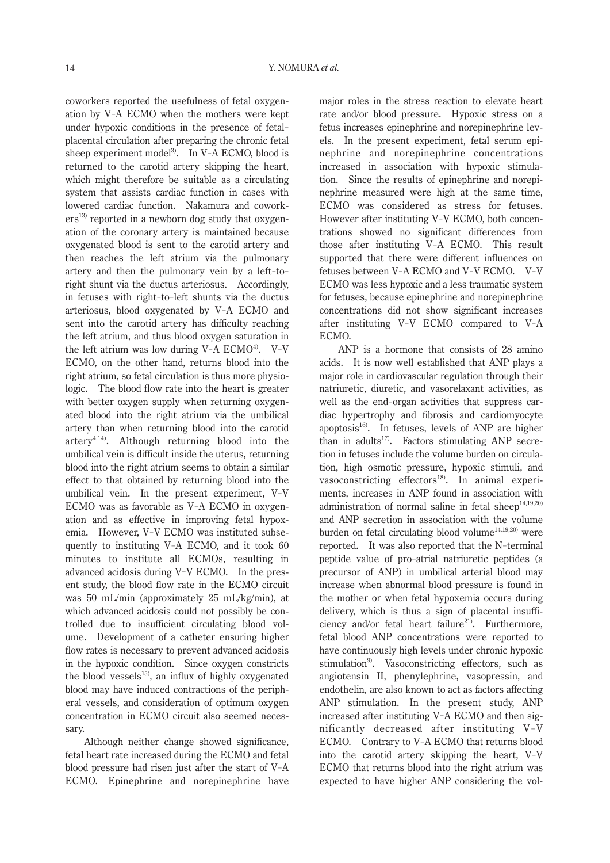coworkers reported the usefulness of fetal oxygenation by V-A ECMO when the mothers were kept under hypoxic conditions in the presence of fetalplacental circulation after preparing the chronic fetal sheep experiment model<sup>3)</sup>. In V-A ECMO, blood is returned to the carotid artery skipping the heart, which might therefore be suitable as a circulating system that assists cardiac function in cases with lowered cardiac function. Nakamura and cowork $ers<sup>13)</sup>$  reported in a newborn dog study that oxygenation of the coronary artery is maintained because oxygenated blood is sent to the carotid artery and then reaches the left atrium via the pulmonary artery and then the pulmonary vein by a left-toright shunt via the ductus arteriosus. Accordingly, in fetuses with right-to-left shunts via the ductus arteriosus, blood oxygenated by V-A ECMO and sent into the carotid artery has difficulty reaching the left atrium, and thus blood oxygen saturation in the left atrium was low during  $V-A$  ECMO<sup>4</sup>. V-V ECMO, on the other hand, returns blood into the right atrium, so fetal circulation is thus more physiologic. The blood flow rate into the heart is greater with better oxygen supply when returning oxygenated blood into the right atrium via the umbilical artery than when returning blood into the carotid artery4,14). Although returning blood into the umbilical vein is difficult inside the uterus, returning blood into the right atrium seems to obtain a similar effect to that obtained by returning blood into the umbilical vein. In the present experiment, V-V ECMO was as favorable as V-A ECMO in oxygenation and as effective in improving fetal hypoxemia. However, V-V ECMO was instituted subsequently to instituting V-A ECMO, and it took 60 minutes to institute all ECMOs, resulting in advanced acidosis during V-V ECMO. In the present study, the blood flow rate in the ECMO circuit was 50 mL/min (approximately 25 mL/kg/min), at which advanced acidosis could not possibly be controlled due to insufficient circulating blood volume. Development of a catheter ensuring higher flow rates is necessary to prevent advanced acidosis in the hypoxic condition. Since oxygen constricts the blood vessels $^{15}$ , an influx of highly oxygenated blood may have induced contractions of the peripheral vessels, and consideration of optimum oxygen concentration in ECMO circuit also seemed necessary.

Although neither change showed significance, fetal heart rate increased during the ECMO and fetal blood pressure had risen just after the start of V-A ECMO. Epinephrine and norepinephrine have

major roles in the stress reaction to elevate heart rate and/or blood pressure. Hypoxic stress on a fetus increases epinephrine and norepinephrine levels. In the present experiment, fetal serum epinephrine and norepinephrine concentrations increased in association with hypoxic stimulation. Since the results of epinephrine and norepinephrine measured were high at the same time, ECMO was considered as stress for fetuses. However after instituting V-V ECMO, both concentrations showed no significant differences from those after instituting V-A ECMO. This result supported that there were different influences on fetuses between V-A ECMO and V-V ECMO. V-V ECMO was less hypoxic and a less traumatic system for fetuses, because epinephrine and norepinephrine concentrations did not show significant increases after instituting V-V ECMO compared to V-A ECMO.

ANP is a hormone that consists of 28 amino acids. It is now well established that ANP plays a major role in cardiovascular regulation through their natriuretic, diuretic, and vasorelaxant activities, as well as the end-organ activities that suppress cardiac hypertrophy and fibrosis and cardiomyocyte apoptosis $16$ . In fetuses, levels of ANP are higher than in adults<sup>17</sup>. Factors stimulating ANP secretion in fetuses include the volume burden on circulation, high osmotic pressure, hypoxic stimuli, and vasoconstricting effectors $^{18}$ . In animal experiments, increases in ANP found in association with administration of normal saline in fetal sheep $14,19,20$ and ANP secretion in association with the volume burden on fetal circulating blood volume $14,19,20$ ) were reported. It was also reported that the N-terminal peptide value of pro-atrial natriuretic peptides (a precursor of ANP) in umbilical arterial blood may increase when abnormal blood pressure is found in the mother or when fetal hypoxemia occurs during delivery, which is thus a sign of placental insufficiency and/or fetal heart failure<sup>21)</sup>. Furthermore, fetal blood ANP concentrations were reported to have continuously high levels under chronic hypoxic stimulation<sup>9)</sup>. Vasoconstricting effectors, such as angiotensin II, phenylephrine, vasopressin, and endothelin, are also known to act as factors affecting ANP stimulation. In the present study, ANP increased after instituting V-A ECMO and then significantly decreased after instituting V-V ECMO. Contrary to V-A ECMO that returns blood into the carotid artery skipping the heart, V-V ECMO that returns blood into the right atrium was expected to have higher ANP considering the vol-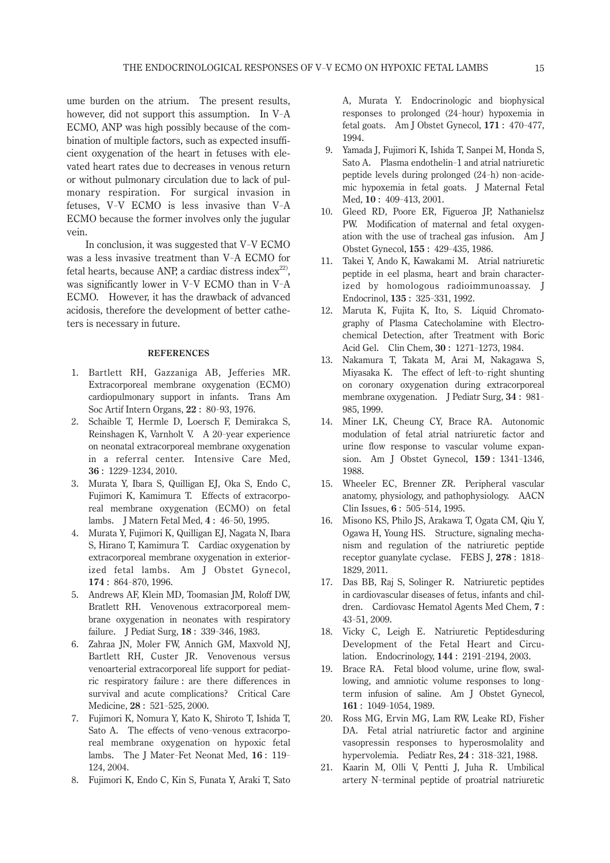ume burden on the atrium. The present results, however, did not support this assumption. In V-A ECMO, ANP was high possibly because of the combination of multiple factors, such as expected insufficient oxygenation of the heart in fetuses with elevated heart rates due to decreases in venous return or without pulmonary circulation due to lack of pulmonary respiration. For surgical invasion in fetuses, V-V ECMO is less invasive than V-A ECMO because the former involves only the jugular vein.

In conclusion, it was suggested that V-V ECMO was a less invasive treatment than V-A ECMO for fetal hearts, because ANP, a cardiac distress index<sup>22)</sup>. was significantly lower in V-V ECMO than in V-A ECMO. However, it has the drawback of advanced acidosis, therefore the development of better catheters is necessary in future.

# **REFERENCES**

- 1. Bartlett RH, Gazzaniga AB, Jefferies MR. Extracorporeal membrane oxygenation (ECMO) cardiopulmonary support in infants. Trans Am Soc Artif Intern Organs, **22** : 80- 93, 1976.
- 2. Schaible T, Hermle D, Loersch F, Demirakca S, Reinshagen K, Varnholt V. A 20- [year experience](http://www.ncbi.nlm.nih.gov/pubmed/20425105) [on neonatal extracorporeal membrane oxygenation](http://www.ncbi.nlm.nih.gov/pubmed/20425105) [in a referral center.](http://www.ncbi.nlm.nih.gov/pubmed/20425105) Intensive Care Med, **36** : 1229- 1234, 2010.
- 3. Murata Y, Ibara S, Quilligan EJ, Oka S, Endo C, Fujimori K, Kamimura T. Effects of extracorporeal membrane oxygenation (ECMO) on fetal lambs. J Matern Fetal Med, **4** : 46- 50, 1995.
- 4. Murata Y, Fujimori K, Quilligan EJ, Nagata N, Ibara S, Hirano T, Kamimura T. Cardiac oxygenation by extracorporeal membrane oxygenation in exteriorized fetal lambs. Am J Obstet Gynecol, **174** : 864- 870, 1996.
- 5. Andrews AF, Klein MD, Toomasian JM, Roloff DW, Bratlett RH. Venovenous extracorporeal membrane oxygenation in neonates with respiratory failure. J Pediat Surg, **18** : 339- 346, 1983.
- 6. Zahraa JN, Moler FW, Annich GM, Maxvold NJ, Bartlett RH, Custer JR. Venovenous versus venoarterial extracorporeal life support for pediatric respiratory failure : are there differences in survival and acute complications? Critical Care Medicine, **28** : 521- 525, 2000.
- 7. Fujimori K, Nomura Y, Kato K, Shiroto T, Ishida T, Sato A. The effects of veno-venous extracorporeal membrane oxygenation on hypoxic fetal lambs. The J Mater-Fet Neonat Med, **16** : 119- 124, 2004.
- 8. Fujimori K, Endo C, Kin S, Funata Y, Araki T, Sato

A, Murata Y. [Endocrinologic and biophysical](http://www.ncbi.nlm.nih.gov/pubmed/8059828) [responses to prolonged \(24-](http://www.ncbi.nlm.nih.gov/pubmed/8059828) hour) hypoxemia in [fetal goats.](http://www.ncbi.nlm.nih.gov/pubmed/8059828) Am J Obstet Gynecol, **171** : 470- 477, 1994.

- 9. Yamada J, Fujimori K, Ishida T, Sanpei M, Honda S, Sato A. Plasma endothelin-1 and atrial natriuretic peptide levels during prolonged (24- h) non-acidemic hypoxemia in fetal goats. J Maternal Fetal Med, **10** : 409- 413, 2001.
- 10. Gleed RD, Poore ER, Figueroa JP, Nathanielsz PW. Modification of maternal and fetal oxygenation with the use of tracheal gas infusion. Am J Obstet Gynecol, **155** : 429- 435, 1986.
- 11. Takei Y, Ando K, Kawakami M. [Atrial natriuretic](http://www.ncbi.nlm.nih.gov/pubmed/1474340) [peptide in eel plasma, heart and brain character](http://www.ncbi.nlm.nih.gov/pubmed/1474340)[ized by homologous radioimmunoassay.](http://www.ncbi.nlm.nih.gov/pubmed/1474340) J Endocrinol, **135** : 325- 331, 1992.
- 12. Maruta K, Fujita K, Ito, S. Liquid Chromatography of Plasma Catecholamine with Electrochemical Detection, after Treatment with Boric Acid Gel. Clin Chem, **30** : 1271- 1273, 1984.
- 13. Nakamura T, Takata M, Arai M, Nakagawa S, Miyasaka K. The effect of left-to-right shunting on coronary oxygenation during extracorporeal membrane oxygenation. J Pediatr Surg, **34** : 981- 985, 1999.
- 14. Miner LK, Cheung CY, Brace RA. Autonomic modulation of fetal atrial natriuretic factor and urine flow response to vascular volume expansion. Am J Obstet Gynecol, **159** : 1341- 1346, 1988.
- 15. Wheeler EC, Brenner ZR. [Peripheral vascular](http://www.ncbi.nlm.nih.gov/pubmed/7493255) [anatomy, physiology, and pathophysiology.](http://www.ncbi.nlm.nih.gov/pubmed/7493255) AACN Clin Issues, **6** : 505- 514, 1995.
- 16. Misono KS, Philo JS, Arakawa T, Ogata CM, Qiu Y, Ogawa H, Young HS. [Structure, signaling mecha](http://www.ncbi.nlm.nih.gov/pubmed/21375693)[nism and regulation of the natriuretic peptide](http://www.ncbi.nlm.nih.gov/pubmed/21375693) [receptor guanylate cyclase.](http://www.ncbi.nlm.nih.gov/pubmed/21375693) FEBS J, **278** : 1818- 1829, 2011.
- 17. Das BB, Raj S, Solinger R. [Natriuretic peptides](http://www.ncbi.nlm.nih.gov/pubmed/19149543) [in cardiovascular diseases of fetus, infants and chil](http://www.ncbi.nlm.nih.gov/pubmed/19149543)[dren.](http://www.ncbi.nlm.nih.gov/pubmed/19149543) Cardiovasc Hematol Agents Med Chem, **7** : 43- 51, 2009.
- 18. Vicky C, Leigh E. Natriuretic Peptidesduring Development of the Fetal Heart and Circulation. Endocrinology, **144** : 2191- 2194, 2003.
- 19. Brace RA. Fetal blood volume, urine flow, swallowing, and amniotic volume responses to longterm infusion of saline. Am J Obstet Gynecol, **161** : 1049- 1054, 1989.
- 20. Ross MG, Ervin MG, Lam RW, Leake RD, Fisher DA. Fetal atrial natriuretic factor and arginine vasopressin responses to hyperosmolality and hypervolemia. Pediatr Res, **24** : 318- 321, 1988.
- 21. Kaarin M, Olli V, Pentti J, Juha R. Umbilical artery N-terminal peptide of proatrial natriuretic